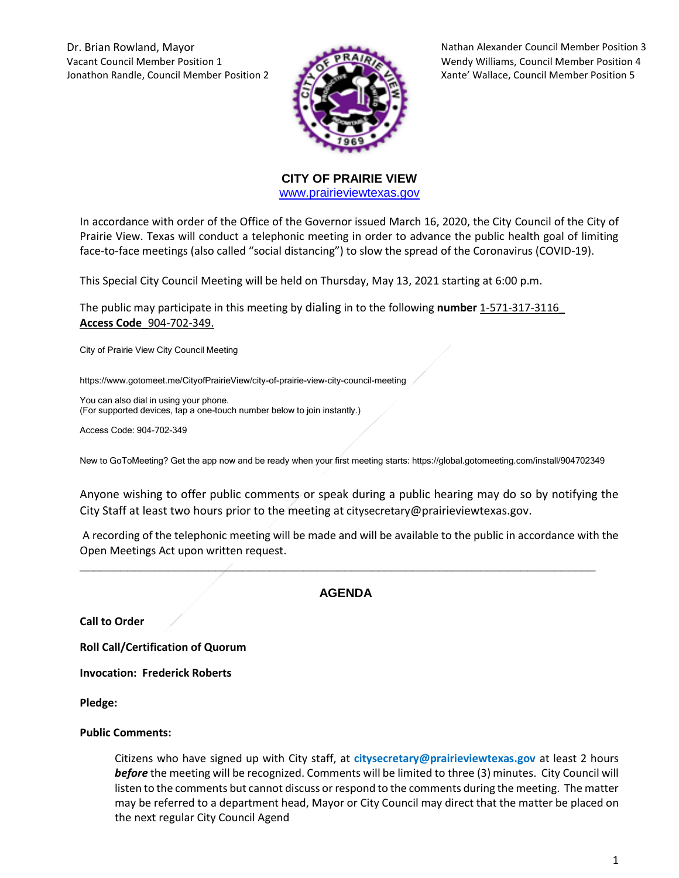Dr. Brian Rowland, Mayor Nathan Alexander Council Member Position 3 Vacant Council Member Position 1 Wendy Williams, Council Member Position 4 Jonathon Randle, Council Member Position 2 Xante' Wallace, Council Member Position 5



**CITY OF PRAIRIE VIEW**  [www.prairieviewtexas.gov](http://www.prairieviewtexas.gov/)

In accordance with order of the Office of the Governor issued March 16, 2020, the City Council of the City of Prairie View. Texas will conduct a telephonic meeting in order to advance the public health goal of limiting face-to-face meetings (also called "social distancing") to slow the spread of the Coronavirus (COVID-19).

This Special City Council Meeting will be held on Thursday, May 13, 2021 starting at 6:00 p.m.

The public may participate in this meeting by dialing in to the following **number** 1-571-317-3116\_ **Access Code**\_904-702-349.

City of Prairie View City Council Meeting

https://www.gotomeet.me/CityofPrairieView/city-of-prairie-view-city-council-meeting

You can also dial in using your phone. (For supported devices, tap a one-touch number below to join instantly.)

Access Code: 904-702-349

New to GoToMeeting? Get the app now and be ready when your first meeting starts: https://global.gotomeeting.com/install/904702349

Anyone wishing to offer public comments or speak during a public hearing may do so by notifying the City Staff at least two hours prior to the meeting at citysecretary@prairieviewtexas.gov.

A recording of the telephonic meeting will be made and will be available to the public in accordance with the Open Meetings Act upon written request.

# **AGENDA**

\_\_\_\_\_\_\_\_\_\_\_\_\_\_\_\_\_\_\_\_\_\_\_\_\_\_\_\_\_\_\_\_\_\_\_\_\_\_\_\_\_\_\_\_\_\_\_\_\_\_\_\_\_\_\_\_\_\_\_\_\_\_\_\_\_\_\_\_\_\_\_\_\_\_\_\_

**Call to Order**

**Roll Call/Certification of Quorum**

**Invocation: Frederick Roberts** 

**Pledge:** 

#### **Public Comments:**

Citizens who have signed up with City staff, at **citysecretary@prairieviewtexas.gov** at least 2 hours *before* the meeting will be recognized. Comments will be limited to three (3) minutes. City Council will listen to the comments but cannot discuss or respond to the comments during the meeting. The matter may be referred to a department head, Mayor or City Council may direct that the matter be placed on the next regular City Council Agend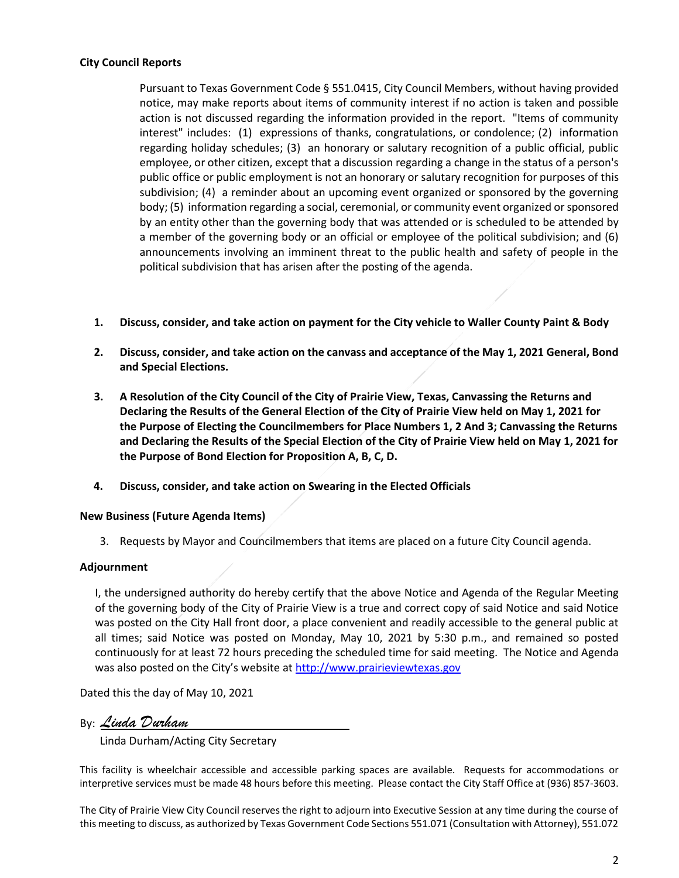## **City Council Reports**

Pursuant to Texas Government Code § 551.0415, City Council Members, without having provided notice, may make reports about items of community interest if no action is taken and possible action is not discussed regarding the information provided in the report. "Items of community interest" includes: (1) expressions of thanks, congratulations, or condolence; (2) information regarding holiday schedules; (3) an honorary or salutary recognition of a public official, public employee, or other citizen, except that a discussion regarding a change in the status of a person's public office or public employment is not an honorary or salutary recognition for purposes of this subdivision; (4) a reminder about an upcoming event organized or sponsored by the governing body; (5) information regarding a social, ceremonial, or community event organized or sponsored by an entity other than the governing body that was attended or is scheduled to be attended by a member of the governing body or an official or employee of the political subdivision; and (6) announcements involving an imminent threat to the public health and safety of people in the political subdivision that has arisen after the posting of the agenda.

- **1. Discuss, consider, and take action on payment for the City vehicle to Waller County Paint & Body**
- **2. Discuss, consider, and take action on the canvass and acceptance of the May 1, 2021 General, Bond and Special Elections.**
- **3. A Resolution of the City Council of the City of Prairie View, Texas, Canvassing the Returns and Declaring the Results of the General Election of the City of Prairie View held on May 1, 2021 for the Purpose of Electing the Councilmembers for Place Numbers 1, 2 And 3; Canvassing the Returns and Declaring the Results of the Special Election of the City of Prairie View held on May 1, 2021 for the Purpose of Bond Election for Proposition A, B, C, D.**
- **4. Discuss, consider, and take action on Swearing in the Elected Officials**

### **New Business (Future Agenda Items)**

3. Requests by Mayor and Councilmembers that items are placed on a future City Council agenda.

# **Adjournment**

I, the undersigned authority do hereby certify that the above Notice and Agenda of the Regular Meeting of the governing body of the City of Prairie View is a true and correct copy of said Notice and said Notice was posted on the City Hall front door, a place convenient and readily accessible to the general public at all times; said Notice was posted on Monday, May 10, 2021 by 5:30 p.m., and remained so posted continuously for at least 72 hours preceding the scheduled time for said meeting. The Notice and Agenda was also posted on the City's website at [http://www.prairieviewtexas.gov](http://www.prairieviewtexas.gov/)

Dated this the day of May 10, 2021

By: *Linda Durham*

Linda Durham/Acting City Secretary

This facility is wheelchair accessible and accessible parking spaces are available. Requests for accommodations or interpretive services must be made 48 hours before this meeting. Please contact the City Staff Office at (936) 857-3603.

The City of Prairie View City Council reserves the right to adjourn into Executive Session at any time during the course of this meeting to discuss, as authorized by Texas Government Code Sections 551.071 (Consultation with Attorney), 551.072